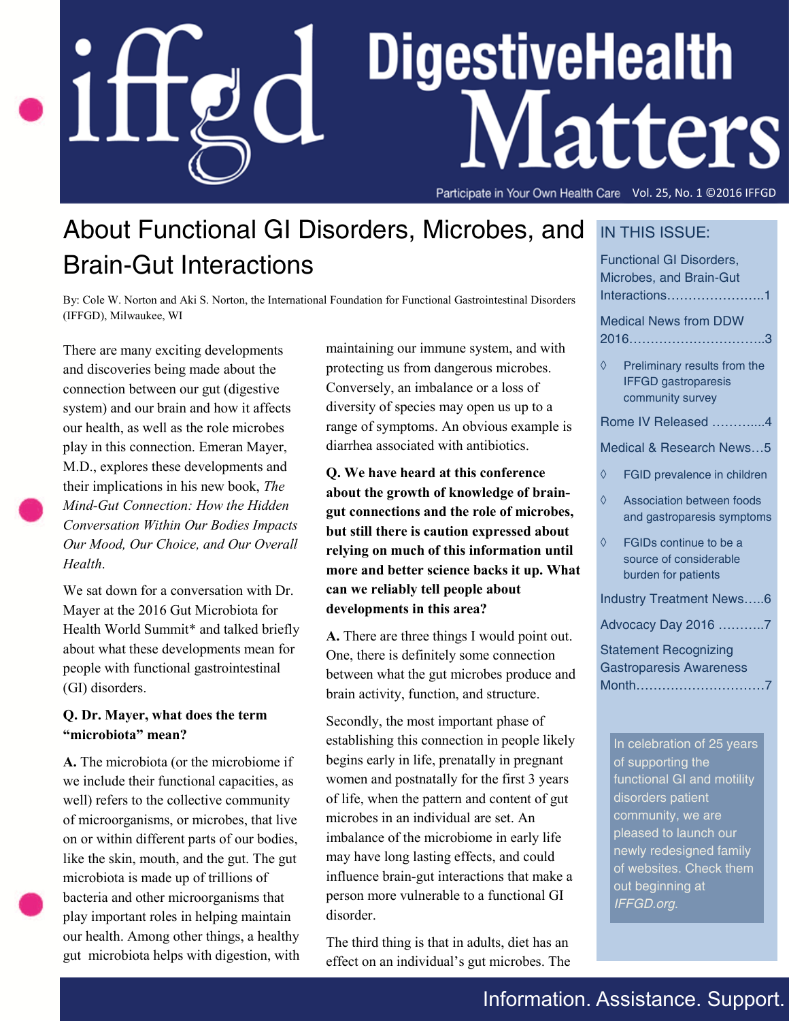# DigestiveHealth Matters

Vol. 25 No. 1, ©2016 IFFGD Vol. 25, No. 1 ©2016 IFFGD

## About Functional GI Disorders, Microbes, and Brain-Gut Interactions

By: Cole W. Norton and Aki S. Norton, the International Foundation for Functional Gastrointestinal Disorders (IFFGD), Milwaukee, WI

There are many exciting developments and discoveries being made about the connection between our gut (digestive system) and our brain and how it affects our health, as well as the role microbes play in this connection. Emeran Mayer, M.D., explores these developments and their implications in his new book, *The Mind-Gut Connection: How the Hidden Conversation Within Our Bodies Impacts Our Mood, Our Choice, and Our Overall Health*.

We sat down for a conversation with Dr. Mayer at the 2016 Gut Microbiota for Health World Summit\* and talked briefly about what these developments mean for people with functional gastrointestinal (GI) disorders.

#### **Q. Dr. Mayer, what does the term "microbiota" mean?**

**A.** The microbiota (or the microbiome if we include their functional capacities, as well) refers to the collective community of microorganisms, or microbes, that live on or within different parts of our bodies, like the skin, mouth, and the gut. The gut microbiota is made up of trillions of bacteria and other microorganisms that play important roles in helping maintain our health. Among other things, a healthy gut microbiota helps with digestion, with maintaining our immune system, and with protecting us from dangerous microbes. Conversely, an imbalance or a loss of diversity of species may open us up to a range of symptoms. An obvious example is diarrhea associated with antibiotics.

**Q. We have heard at this conference about the growth of knowledge of braingut connections and the role of microbes, but still there is caution expressed about relying on much of this information until more and better science backs it up. What can we reliably tell people about developments in this area?**

**A.** There are three things I would point out. One, there is definitely some connection between what the gut microbes produce and brain activity, function, and structure.

Secondly, the most important phase of establishing this connection in people likely begins early in life, prenatally in pregnant women and postnatally for the first 3 years of life, when the pattern and content of gut microbes in an individual are set. An imbalance of the microbiome in early life may have long lasting effects, and could influence brain-gut interactions that make a person more vulnerable to a functional GI disorder.

The third thing is that in adults, diet has an effect on an individual's gut microbes. The

#### IN THIS ISSUE:

Functional GI Disorders, Microbes, and Brain-Gut Interactions…………………..1 Medical News from DDW 2016…………………………..3  $\Diamond$  Preliminary results from the IFFGD gastroparesis

community survey

Rome IV Released ………....4

Medical & Research News…5

- FGID prevalence in children
- $\Diamond$  Association between foods and gastroparesis symptoms
- FGIDs continue to be a source of considerable burden for patients

Industry Treatment News…..6

Advocacy Day 2016 ………..7

Statement Recognizing Gastroparesis Awareness Month…………………………7

In celebration of 25 years of supporting the functional GI and motility disorders patient community, we are pleased to launch our newly redesigned family of websites. Check them out beginning at *IFFGD.org*.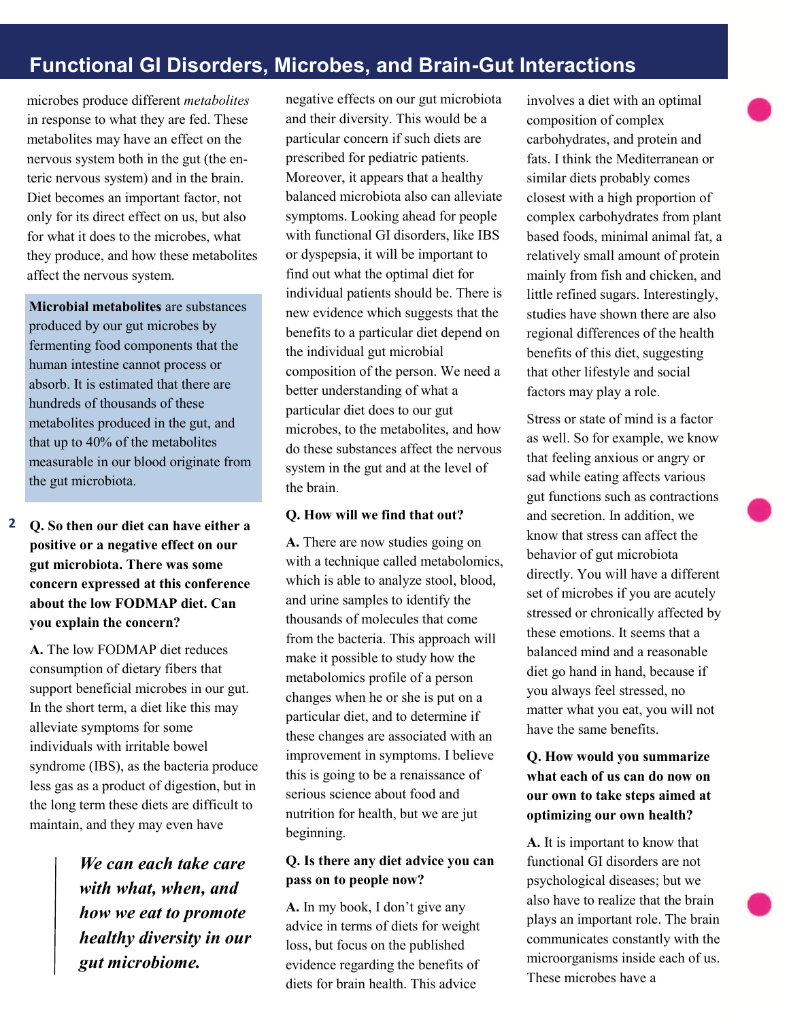## **Functional GI Disorders, Microbes, and Brain-Gut Interactions**

microbes produce different *metabolites* in response to what they are fed. These metabolites may have an effect on the nervous system both in the gut (the enteric nervous system) and in the brain. Diet becomes an important factor, not only for its direct effect on us, but also for what it does to the microbes, what they produce, and how these metabolites affect the nervous system.

**Microbial metabolites** are substances produced by our gut microbes by fermenting food components that the human intestine cannot process or absorb. It is estimated that there are hundreds of thousands of these metabolites produced in the gut, and that up to 40% of the metabolites measurable in our blood originate from the gut microbiota.

**Q. So then our diet can have either a positive or a negative effect on our gut microbiota. There was some concern expressed at this conference about the low FODMAP diet. Can you explain the concern? 2**

**A.** The low FODMAP diet reduces consumption of dietary fibers that support beneficial microbes in our gut. In the short term, a diet like this may alleviate symptoms for some individuals with irritable bowel syndrome (IBS), as the bacteria produce less gas as a product of digestion, but in the long term these diets are difficult to maintain, and they may even have

> *We can each take care with what, when, and how we eat to promote healthy diversity in our gut microbiome.*

negative effects on our gut microbiota and their diversity. This would be a particular concern if such diets are prescribed for pediatric patients. Moreover, it appears that a healthy balanced microbiota also can alleviate symptoms. Looking ahead for people with functional GI disorders, like IBS or dyspepsia, it will be important to find out what the optimal diet for individual patients should be. There is new evidence which suggests that the benefits to a particular diet depend on the individual gut microbial composition of the person. We need a better understanding of what a particular diet does to our gut microbes, to the metabolites, and how do these substances affect the nervous system in the gut and at the level of the brain.

#### **Q. How will we find that out?**

**A.** There are now studies going on with a technique called metabolomics, which is able to analyze stool, blood, and urine samples to identify the thousands of molecules that come from the bacteria. This approach will make it possible to study how the metabolomics profile of a person changes when he or she is put on a particular diet, and to determine if these changes are associated with an improvement in symptoms. I believe this is going to be a renaissance of serious science about food and nutrition for health, but we are jut beginning.

#### **Q. Is there any diet advice you can pass on to people now?**

**A.** In my book, I don't give any advice in terms of diets for weight loss, but focus on the published evidence regarding the benefits of diets for brain health. This advice

involves a diet with an optimal composition of complex carbohydrates, and protein and fats. I think the Mediterranean or similar diets probably comes closest with a high proportion of complex carbohydrates from plant based foods, minimal animal fat, a relatively small amount of protein mainly from fish and chicken, and little refined sugars. Interestingly, studies have shown there are also regional differences of the health benefits of this diet, suggesting that other lifestyle and social factors may play a role.

Stress or state of mind is a factor as well. So for example, we know that feeling anxious or angry or sad while eating affects various gut functions such as contractions and secretion. In addition, we know that stress can affect the behavior of gut microbiota directly. You will have a different set of microbes if you are acutely stressed or chronically affected by these emotions. It seems that a balanced mind and a reasonable diet go hand in hand, because if you always feel stressed, no matter what you eat, you will not have the same benefits.

#### **Q. How would you summarize what each of us can do now on our own to take steps aimed at optimizing our own health?**

**A.** It is important to know that functional GI disorders are not psychological diseases; but we also have to realize that the brain plays an important role. The brain communicates constantly with the microorganisms inside each of us. These microbes have a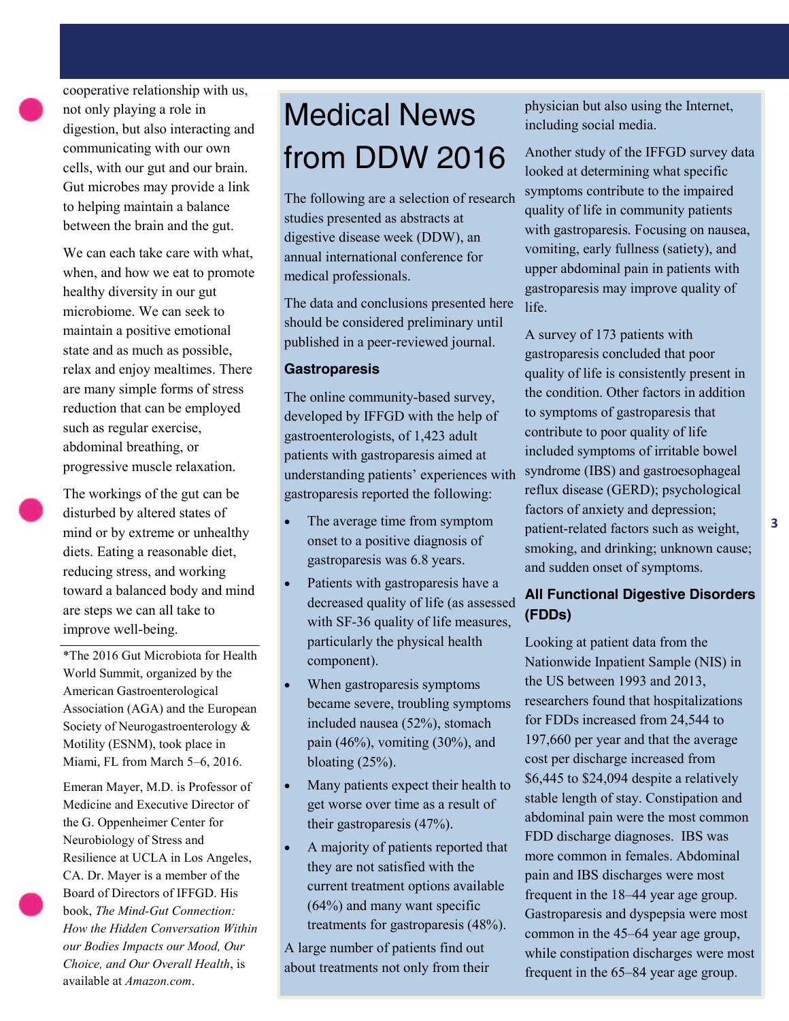cooperative relationship with us, not only playing a role in digestion, but also interacting and communicating with our own cells, with our gut and our brain. Gut microbes may provide a link to helping maintain a balance between the brain and the gut.

We can each take care with what, when, and how we eat to promote healthy diversity in our gut microbiome. We can seek to maintain a positive emotional state and as much as possible, relax and enjoy mealtimes. There are many simple forms of stress reduction that can be employed such as regular exercise, abdominal breathing, or progressive muscle relaxation.

The workings of the gut can be disturbed by altered states of mind or by extreme or unhealthy diets. Eating a reasonable diet, reducing stress, and working toward a balanced body and mind are steps we can all take to improve well-being.

\*The 2016 Gut Microbiota for Health World Summit, organized by the American Gastroenterological Association (AGA) and the European Society of Neurogastroenterology & Motility (ESNM), took place in Miami, FL from March 5–6, 2016.

Emeran Mayer, M.D. is Professor of Medicine and Executive Director of the G. Oppenheimer Center for Neurobiology of Stress and Resilience at UCLA in Los Angeles, CA. Dr. Mayer is a member of the Board of Directors of IFFGD. His book, *The Mind-Gut Connection: How the Hidden Conversation Within our Bodies Impacts our Mood, Our Choice, and Our Overall Health*, is available at *Amazon.com*.

# Medical News from DDW 2016

The following are a selection of research studies presented as abstracts at digestive disease week (DDW), an annual international conference for medical professionals.

The data and conclusions presented here should be considered preliminary until published in a peer-reviewed journal.

#### **Gastroparesis**

The online community-based survey, developed by IFFGD with the help of gastroenterologists, of 1,423 adult patients with gastroparesis aimed at understanding patients' experiences with gastroparesis reported the following:

- The average time from symptom onset to a positive diagnosis of gastroparesis was 6.8 years.
- Patients with gastroparesis have a decreased quality of life (as assessed with SF-36 quality of life measures, particularly the physical health component).
- When gastroparesis symptoms became severe, troubling symptoms included nausea (52%), stomach pain (46%), vomiting (30%), and bloating  $(25%)$ .
- Many patients expect their health to get worse over time as a result of their gastroparesis (47%).
- A majority of patients reported that they are not satisfied with the current treatment options available (64%) and many want specific treatments for gastroparesis (48%).

A large number of patients find out about treatments not only from their physician but also using the Internet, including social media.

Another study of the IFFGD survey data looked at determining what specific symptoms contribute to the impaired quality of life in community patients with gastroparesis. Focusing on nausea, vomiting, early fullness (satiety), and upper abdominal pain in patients with gastroparesis may improve quality of life.

A survey of 173 patients with gastroparesis concluded that poor quality of life is consistently present in the condition. Other factors in addition to symptoms of gastroparesis that contribute to poor quality of life included symptoms of irritable bowel syndrome (IBS) and gastroesophageal reflux disease (GERD); psychological factors of anxiety and depression; patient-related factors such as weight, smoking, and drinking; unknown cause; and sudden onset of symptoms.

#### **All Functional Digestive Disorders (FDDs)**

Looking at patient data from the Nationwide Inpatient Sample (NIS) in the US between 1993 and 2013, researchers found that hospitalizations for FDDs increased from 24,544 to 197,660 per year and that the average cost per discharge increased from \$6,445 to \$24,094 despite a relatively stable length of stay. Constipation and abdominal pain were the most common FDD discharge diagnoses. IBS was more common in females. Abdominal pain and IBS discharges were most frequent in the 18–44 year age group. Gastroparesis and dyspepsia were most common in the 45–64 year age group, while constipation discharges were most frequent in the 65–84 year age group.

*www.iffgd.org*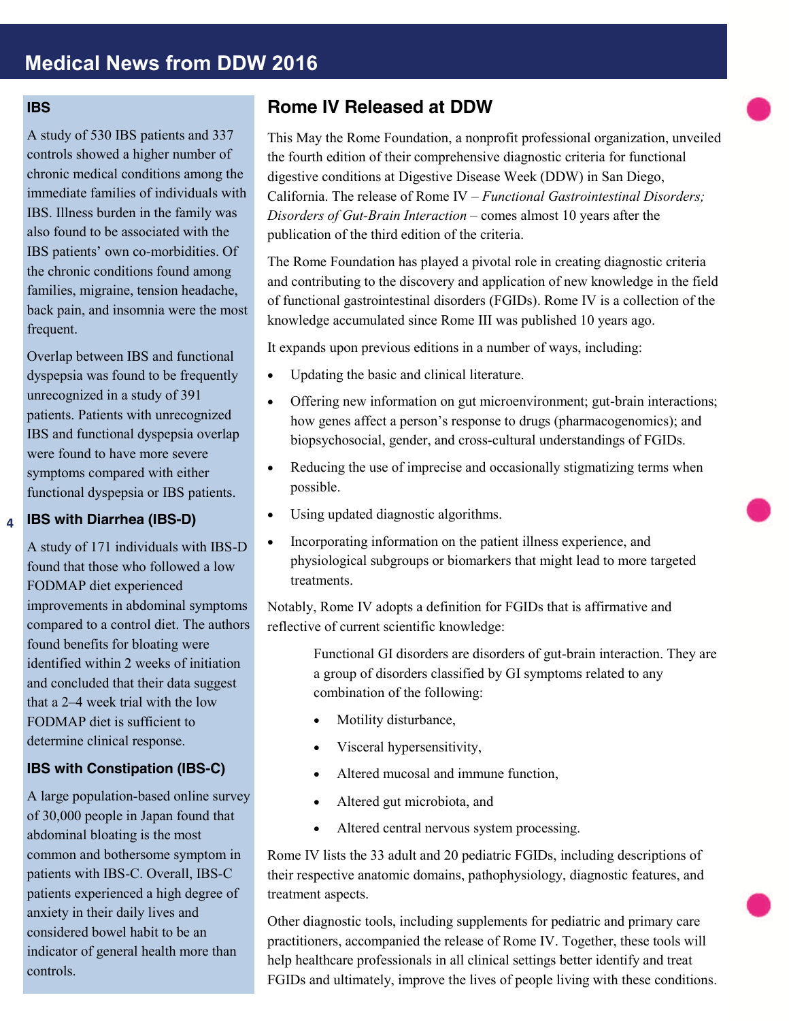#### **IBS**

A study of 530 IBS patients and 337 controls showed a higher number of chronic medical conditions among the immediate families of individuals with IBS. Illness burden in the family was also found to be associated with the IBS patients' own co-morbidities. Of the chronic conditions found among families, migraine, tension headache, back pain, and insomnia were the most frequent.

Overlap between IBS and functional dyspepsia was found to be frequently unrecognized in a study of 391 patients. Patients with unrecognized IBS and functional dyspepsia overlap were found to have more severe symptoms compared with either functional dyspepsia or IBS patients.

#### **IBS with Diarrhea (IBS-D) 4**

A study of 171 individuals with IBS-D found that those who followed a low FODMAP diet experienced improvements in abdominal symptoms compared to a control diet. The authors found benefits for bloating were identified within 2 weeks of initiation and concluded that their data suggest that a 2–4 week trial with the low FODMAP diet is sufficient to determine clinical response.

#### **IBS with Constipation (IBS-C)**

A large population-based online survey of 30,000 people in Japan found that abdominal bloating is the most common and bothersome symptom in patients with IBS-C. Overall, IBS-C patients experienced a high degree of anxiety in their daily lives and considered bowel habit to be an indicator of general health more than controls.

#### **Rome IV Released at DDW**

This May the Rome Foundation, a nonprofit professional organization, unveiled the fourth edition of their comprehensive diagnostic criteria for functional digestive conditions at Digestive Disease Week (DDW) in San Diego, California. The release of Rome IV – *Functional Gastrointestinal Disorders; Disorders of Gut-Brain Interaction* – comes almost 10 years after the publication of the third edition of the criteria.

The Rome Foundation has played a pivotal role in creating diagnostic criteria and contributing to the discovery and application of new knowledge in the field of functional gastrointestinal disorders (FGIDs). Rome IV is a collection of the knowledge accumulated since Rome III was published 10 years ago.

It expands upon previous editions in a number of ways, including:

- Updating the basic and clinical literature.
- Offering new information on gut microenvironment; gut-brain interactions; how genes affect a person's response to drugs (pharmacogenomics); and biopsychosocial, gender, and cross-cultural understandings of FGIDs.
- Reducing the use of imprecise and occasionally stigmatizing terms when possible.
- Using updated diagnostic algorithms.
- Incorporating information on the patient illness experience, and physiological subgroups or biomarkers that might lead to more targeted treatments.

Notably, Rome IV adopts a definition for FGIDs that is affirmative and reflective of current scientific knowledge:

> Functional GI disorders are disorders of gut-brain interaction. They are a group of disorders classified by GI symptoms related to any combination of the following:

- Motility disturbance,
- Visceral hypersensitivity,
- Altered mucosal and immune function,
- Altered gut microbiota, and
- Altered central nervous system processing.

Rome IV lists the 33 adult and 20 pediatric FGIDs, including descriptions of their respective anatomic domains, pathophysiology, diagnostic features, and treatment aspects.

Other diagnostic tools, including supplements for pediatric and primary care practitioners, accompanied the release of Rome IV. Together, these tools will help healthcare professionals in all clinical settings better identify and treat FGIDs and ultimately, improve the lives of people living with these conditions.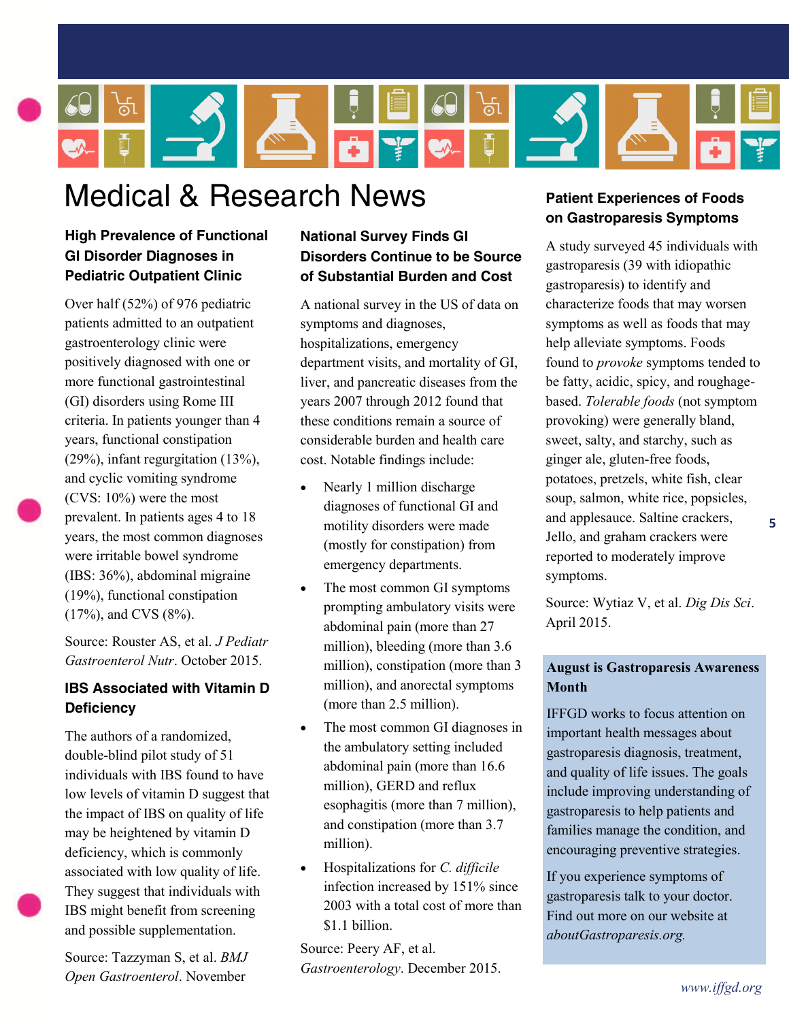

# Medical & Research News

#### **High Prevalence of Functional GI Disorder Diagnoses in Pediatric Outpatient Clinic**

Over half (52%) of 976 pediatric patients admitted to an outpatient gastroenterology clinic were positively diagnosed with one or more functional gastrointestinal (GI) disorders using Rome III criteria. In patients younger than 4 years, functional constipation (29%), infant regurgitation (13%), and cyclic vomiting syndrome (CVS: 10%) were the most prevalent. In patients ages 4 to 18 years, the most common diagnoses were irritable bowel syndrome (IBS: 36%), abdominal migraine (19%), functional constipation (17%), and CVS (8%).

Source: Rouster AS, et al. *J Pediatr Gastroenterol Nutr*. October 2015.

#### **IBS Associated with Vitamin D Deficiency**

The authors of a randomized, double-blind pilot study of 51 individuals with IBS found to have low levels of vitamin D suggest that the impact of IBS on quality of life may be heightened by vitamin D deficiency, which is commonly associated with low quality of life. They suggest that individuals with IBS might benefit from screening and possible supplementation.

Source: Tazzyman S, et al. *BMJ Open Gastroenterol*. November

#### **National Survey Finds GI Disorders Continue to be Source of Substantial Burden and Cost**

A national survey in the US of data on symptoms and diagnoses, hospitalizations, emergency department visits, and mortality of GI, liver, and pancreatic diseases from the years 2007 through 2012 found that these conditions remain a source of considerable burden and health care cost. Notable findings include:

- Nearly 1 million discharge diagnoses of functional GI and motility disorders were made (mostly for constipation) from emergency departments.
- The most common GI symptoms prompting ambulatory visits were abdominal pain (more than 27 million), bleeding (more than 3.6 million), constipation (more than 3 million), and anorectal symptoms (more than 2.5 million).
- The most common GI diagnoses in the ambulatory setting included abdominal pain (more than 16.6 million), GERD and reflux esophagitis (more than 7 million), and constipation (more than 3.7 million).
- Hospitalizations for *C. difficile*  infection increased by 151% since 2003 with a total cost of more than \$1.1 billion.

Source: Peery AF, et al. *Gastroenterology*. December 2015.

#### **Patient Experiences of Foods on Gastroparesis Symptoms**

A study surveyed 45 individuals with gastroparesis (39 with idiopathic gastroparesis) to identify and characterize foods that may worsen symptoms as well as foods that may help alleviate symptoms. Foods found to *provoke* symptoms tended to be fatty, acidic, spicy, and roughagebased. *Tolerable foods* (not symptom provoking) were generally bland, sweet, salty, and starchy, such as ginger ale, gluten-free foods, potatoes, pretzels, white fish, clear soup, salmon, white rice, popsicles, and applesauce. Saltine crackers, Jello, and graham crackers were reported to moderately improve symptoms.

**5**

Source: Wytiaz V, et al. *Dig Dis Sci*. April 2015.

#### **August is Gastroparesis Awareness Month**

IFFGD works to focus attention on important health messages about gastroparesis diagnosis, treatment, and quality of life issues. The goals include improving understanding of gastroparesis to help patients and families manage the condition, and encouraging preventive strategies.

If you experience symptoms of gastroparesis talk to your doctor. Find out more on our website at *aboutGastroparesis.org.*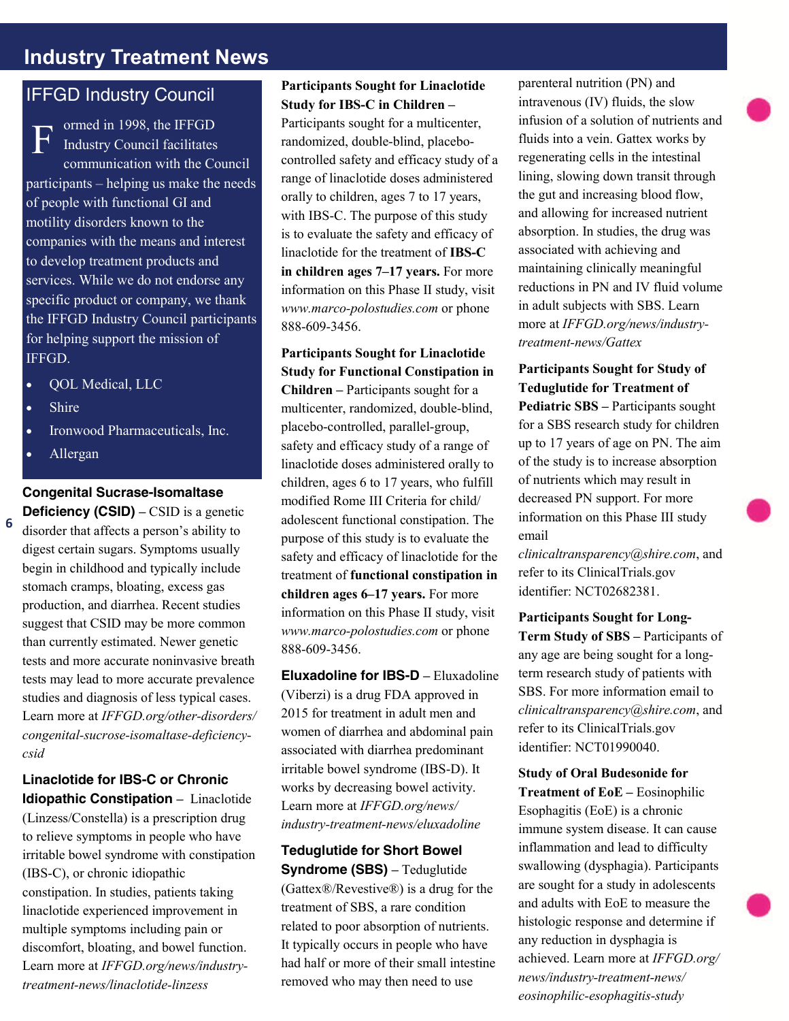## **Industry Treatment News**

### IFFGD Industry Council

ormed in 1998, the IFFGD Industry Council facilitates communication with the Council participants – helping us make the needs of people with functional GI and motility disorders known to the companies with the means and interest to develop treatment products and services. While we do not endorse any specific product or company, we thank the IFFGD Industry Council participants for helping support the mission of IFFGD. F

- QOL Medical, LLC
- Shire
- Ironwood Pharmaceuticals, Inc.
- Allergan

**6**

#### **Congenital Sucrase-Isomaltase**

**Deficiency (CSID) –** CSID is a genetic disorder that affects a person's ability to digest certain sugars. Symptoms usually begin in childhood and typically include stomach cramps, bloating, excess gas production, and diarrhea. Recent studies suggest that CSID may be more common than currently estimated. Newer genetic tests and more accurate noninvasive breath tests may lead to more accurate prevalence studies and diagnosis of less typical cases. Learn more at *IFFGD.org/other-disorders/ congenital-sucrose-isomaltase-deficiencycsid*

**Linaclotide for IBS-C or Chronic Idiopathic Constipation –** Linaclotide (Linzess/Constella) is a prescription drug to relieve symptoms in people who have irritable bowel syndrome with constipation (IBS-C), or chronic idiopathic constipation. In studies, patients taking linaclotide experienced improvement in multiple symptoms including pain or discomfort, bloating, and bowel function. Learn more at *IFFGD.org/news/industrytreatment-news/linaclotide-linzess*

#### **Participants Sought for Linaclotide Study for IBS-C in Children –**

Participants sought for a multicenter, randomized, double-blind, placebocontrolled safety and efficacy study of a range of linaclotide doses administered orally to children, ages 7 to 17 years, with IBS-C. The purpose of this study is to evaluate the safety and efficacy of linaclotide for the treatment of **IBS-C in children ages 7–17 years.** For more information on this Phase II study, visit *www.marco-polostudies.com* or phone 888-609-3456.

**Participants Sought for Linaclotide Study for Functional Constipation in Children –** Participants sought for a multicenter, randomized, double-blind, placebo-controlled, parallel-group, safety and efficacy study of a range of linaclotide doses administered orally to children, ages 6 to 17 years, who fulfill modified Rome III Criteria for child/ adolescent functional constipation. The purpose of this study is to evaluate the safety and efficacy of linaclotide for the treatment of **functional constipation in children ages 6–17 years.** For more information on this Phase II study, visit *www.marco-polostudies.com* or phone 888-609-3456.

**Eluxadoline for IBS-D –** Eluxadoline (Viberzi) is a drug FDA approved in 2015 for treatment in adult men and women of diarrhea and abdominal pain associated with diarrhea predominant irritable bowel syndrome (IBS-D). It works by decreasing bowel activity. Learn more at *IFFGD.org/news/ industry-treatment-news/eluxadoline*

**Teduglutide for Short Bowel Syndrome (SBS) –** Teduglutide (Gattex®/Revestive®) is a drug for the treatment of SBS, a rare condition related to poor absorption of nutrients. It typically occurs in people who have had half or more of their small intestine removed who may then need to use

parenteral nutrition (PN) and intravenous (IV) fluids, the slow infusion of a solution of nutrients and fluids into a vein. Gattex works by regenerating cells in the intestinal lining, slowing down transit through the gut and increasing blood flow, and allowing for increased nutrient absorption. In studies, the drug was associated with achieving and maintaining clinically meaningful reductions in PN and IV fluid volume in adult subjects with SBS. Learn more at *IFFGD.org/news/industrytreatment-news/Gattex*

**Participants Sought for Study of Teduglutide for Treatment of Pediatric SBS –** Participants sought for a SBS research study for children up to 17 years of age on PN. The aim of the study is to increase absorption of nutrients which may result in decreased PN support. For more information on this Phase III study email

*clinicaltransparency@shire.com*, and refer to its ClinicalTrials.gov identifier: NCT02682381.

**Participants Sought for Long-Term Study of SBS –** Participants of any age are being sought for a longterm research study of patients with SBS. For more information email to *clinicaltransparency@shire.com*, and refer to its ClinicalTrials.gov identifier: NCT01990040.

**Study of Oral Budesonide for Treatment of EoE –** Eosinophilic Esophagitis (EoE) is a chronic immune system disease. It can cause inflammation and lead to difficulty swallowing (dysphagia). Participants are sought for a study in adolescents and adults with EoE to measure the histologic response and determine if any reduction in dysphagia is achieved. Learn more at *IFFGD.org/ news/industry-treatment-news/ eosinophilic-esophagitis-study*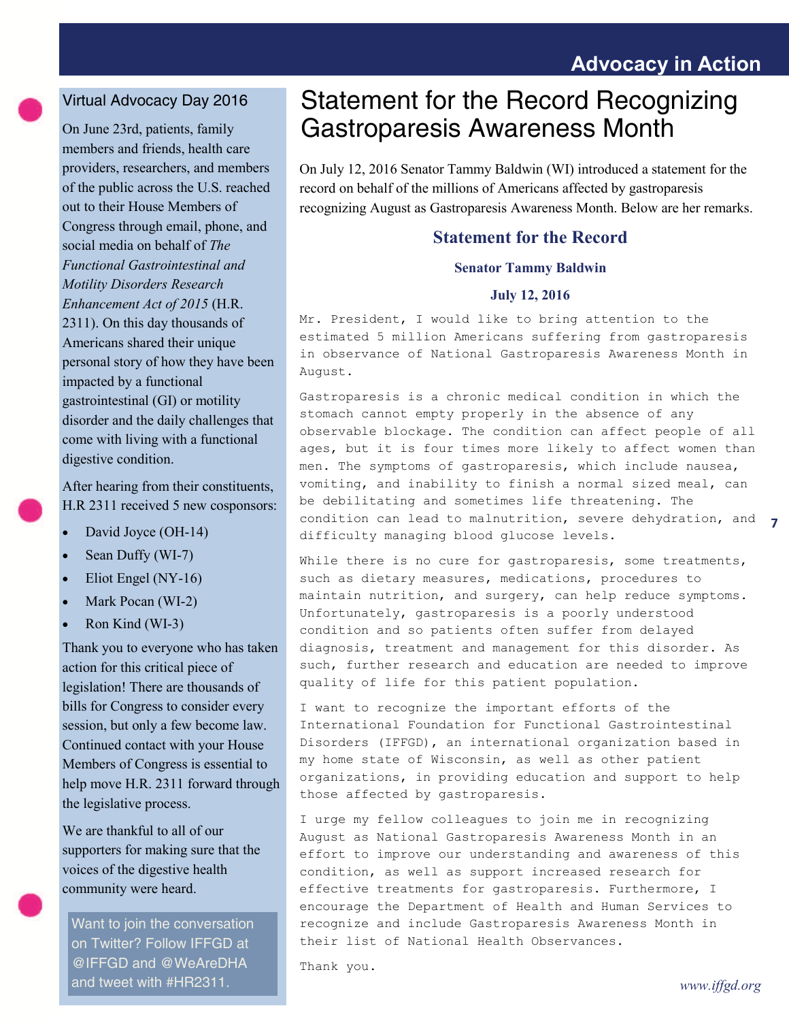## **Advocacy in Action**

#### Virtual Advocacy Day 2016

On June 23rd, patients, family members and friends, health care providers, researchers, and members of the public across the U.S. reached out to their House Members of Congress through email, phone, and social media on behalf of *The Functional Gastrointestinal and Motility Disorders Research Enhancement Act of 2015* (H.R. 2311). On this day thousands of Americans shared their unique personal story of how they have been impacted by a functional gastrointestinal (GI) or motility disorder and the daily challenges that come with living with a functional digestive condition.

After hearing from their constituents, H.R 2311 received 5 new cosponsors:

- David Joyce (OH-14)
- Sean Duffy (WI-7)
- Eliot Engel (NY-16)
- Mark Pocan (WI-2)
- Ron Kind (WI-3)

Thank you to everyone who has taken action for this critical piece of legislation! There are thousands of bills for Congress to consider every session, but only a few become law. Continued contact with your House Members of Congress is essential to help move H.R. 2311 forward through the legislative process.

We are thankful to all of our supporters for making sure that the voices of the digestive health community were heard.

Want to join the conversation on Twitter? Follow IFFGD at @IFFGD and @WeAreDHA and tweet with #HR2311.

## Statement for the Record Recognizing Gastroparesis Awareness Month

On July 12, 2016 Senator Tammy Baldwin (WI) introduced a statement for the record on behalf of the millions of Americans affected by gastroparesis recognizing August as Gastroparesis Awareness Month. Below are her remarks.

#### **Statement for the Record**

#### **Senator Tammy Baldwin**

#### **July 12, 2016**

Mr. President, I would like to bring attention to the estimated 5 million Americans suffering from gastroparesis in observance of National Gastroparesis Awareness Month in August.

Gastroparesis is a chronic medical condition in which the stomach cannot empty properly in the absence of any observable blockage. The condition can affect people of all ages, but it is four times more likely to affect women than men. The symptoms of gastroparesis, which include nausea, vomiting, and inability to finish a normal sized meal, can be debilitating and sometimes life threatening. The condition can lead to malnutrition, severe dehydration, and difficulty managing blood glucose levels.

While there is no cure for gastroparesis, some treatments, such as dietary measures, medications, procedures to maintain nutrition, and surgery, can help reduce symptoms. Unfortunately, gastroparesis is a poorly understood condition and so patients often suffer from delayed diagnosis, treatment and management for this disorder. As such, further research and education are needed to improve quality of life for this patient population.

I want to recognize the important efforts of the International Foundation for Functional Gastrointestinal Disorders (IFFGD), an international organization based in my home state of Wisconsin, as well as other patient organizations, in providing education and support to help those affected by gastroparesis.

I urge my fellow colleagues to join me in recognizing August as National Gastroparesis Awareness Month in an effort to improve our understanding and awareness of this condition, as well as support increased research for effective treatments for gastroparesis. Furthermore, I encourage the Department of Health and Human Services to recognize and include Gastroparesis Awareness Month in their list of National Health Observances.

Thank you.

**7**